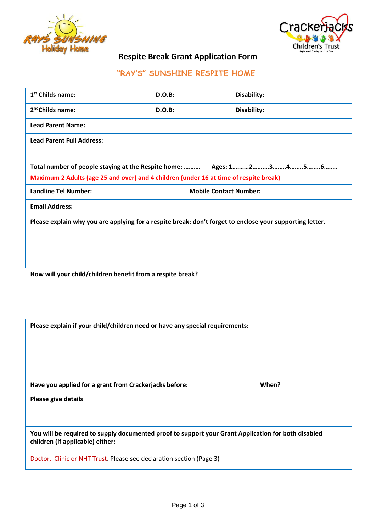



# **Respite Break Grant Application Form**

# **"RAY'S" SUNSHINE RESPITE HOME**

| 1 <sup>st</sup> Childs name:                                                                                                            | <b>D.O.B:</b>                 | Disability: |
|-----------------------------------------------------------------------------------------------------------------------------------------|-------------------------------|-------------|
| 2 <sup>nd</sup> Childs name:                                                                                                            | D.O.B:                        | Disability: |
| <b>Lead Parent Name:</b>                                                                                                                |                               |             |
| <b>Lead Parent Full Address:</b>                                                                                                        |                               |             |
|                                                                                                                                         |                               |             |
| Total number of people staying at the Respite home:  Ages: 12356                                                                        |                               |             |
| Maximum 2 Adults (age 25 and over) and 4 children (under 16 at time of respite break)                                                   |                               |             |
| <b>Landline Tel Number:</b>                                                                                                             | <b>Mobile Contact Number:</b> |             |
| <b>Email Address:</b>                                                                                                                   |                               |             |
| Please explain why you are applying for a respite break: don't forget to enclose your supporting letter.                                |                               |             |
|                                                                                                                                         |                               |             |
|                                                                                                                                         |                               |             |
|                                                                                                                                         |                               |             |
| How will your child/children benefit from a respite break?                                                                              |                               |             |
|                                                                                                                                         |                               |             |
|                                                                                                                                         |                               |             |
|                                                                                                                                         |                               |             |
| Please explain if your child/children need or have any special requirements:                                                            |                               |             |
|                                                                                                                                         |                               |             |
|                                                                                                                                         |                               |             |
|                                                                                                                                         |                               |             |
|                                                                                                                                         |                               |             |
| Have you applied for a grant from Crackerjacks before:                                                                                  |                               | When?       |
| Please give details                                                                                                                     |                               |             |
|                                                                                                                                         |                               |             |
|                                                                                                                                         |                               |             |
| You will be required to supply documented proof to support your Grant Application for both disabled<br>children (if applicable) either: |                               |             |
| Doctor, Clinic or NHT Trust. Please see declaration section (Page 3)                                                                    |                               |             |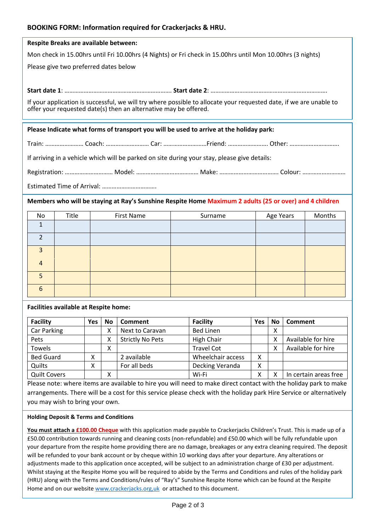## **BOOKING FORM: Information required for Crackerjacks & HRU.**

| Respite Breaks are available between:                                                                                                                                                  |  |  |  |  |
|----------------------------------------------------------------------------------------------------------------------------------------------------------------------------------------|--|--|--|--|
| Mon check in 15.00hrs until Fri 10.00hrs (4 Nights) or Fri check in 15.00hrs until Mon 10.00hrs (3 nights)                                                                             |  |  |  |  |
| Please give two preferred dates below                                                                                                                                                  |  |  |  |  |
|                                                                                                                                                                                        |  |  |  |  |
|                                                                                                                                                                                        |  |  |  |  |
| If your application is successful, we will try where possible to allocate your requested date, if we are unable to<br>offer your requested date(s) then an alternative may be offered. |  |  |  |  |
| Please Indicate what forms of transport you will be used to arrive at the holiday park:                                                                                                |  |  |  |  |
|                                                                                                                                                                                        |  |  |  |  |
| Train:  Coach:  Car:  Friend:  Other:                                                                                                                                                  |  |  |  |  |
| If arriving in a vehicle which will be parked on site during your stay, please give details:                                                                                           |  |  |  |  |

Registration: …………………………… Model: ………………………………… Make: ………………………………… Colour: ………………………

Estimated Time of Arrival: …………………………….

#### **Members who will be staying at Ray's Sunshine Respite Home Maximum 2 adults (25 or over) and 4 children**

| No           | Title | First Name | Surname | Age Years | Months |
|--------------|-------|------------|---------|-----------|--------|
|              |       |            |         |           |        |
|              |       |            |         |           |        |
| $\mathbf{R}$ |       |            |         |           |        |
| 4            |       |            |         |           |        |
| 5.           |       |            |         |           |        |
| 6            |       |            |         |           |        |

**Facilities available at Respite home:**

| <b>Facility</b>     | Yes | No                | Comment                 | <b>Facility</b>   | <b>Yes</b> | <b>No</b> | Comment               |
|---------------------|-----|-------------------|-------------------------|-------------------|------------|-----------|-----------------------|
| Car Parking         |     | х                 | Next to Caravan         | <b>Bed Linen</b>  |            | ∧         |                       |
| Pets                |     | Χ                 | <b>Strictly No Pets</b> | High Chair        |            |           | Available for hire    |
| <b>Towels</b>       |     | v<br>⋏            |                         | <b>Travel Cot</b> |            |           | Available for hire    |
| <b>Bed Guard</b>    | х   |                   | 2 available             | Wheelchair access | Χ          |           |                       |
| Quilts              | χ   |                   | For all beds            | Decking Veranda   | χ          |           |                       |
| <b>Quilt Covers</b> |     | $\checkmark$<br>∧ |                         | Wi-Fi             | v<br>⋏     |           | In certain areas free |

Please note: where items are available to hire you will need to make direct contact with the holiday park to make arrangements. There will be a cost for this service please check with the holiday park Hire Service or alternatively you may wish to bring your own.

#### **Holding Deposit & Terms and Conditions**

**You must attach a £100.00 Cheque** with this application made payable to Crackerjacks Children's Trust. This is made up of a £50.00 contribution towards running and cleaning costs (non-refundable) and £50.00 which will be fully refundable upon your departure from the respite home providing there are no damage, breakages or any extra cleaning required. The deposit will be refunded to your bank account or by cheque within 10 working days after your departure. Any alterations or adjustments made to this application once accepted, will be subject to an administration charge of £30 per adjustment. Whilst staying at the Respite Home you will be required to abide by the Terms and Conditions and rules of the holiday park (HRU) along with the Terms and Conditions/rules of "Ray's" Sunshine Respite Home which can be found at the Respite Home and on our website [www.crackerjacks.org,uk](http://www.crackerjacks.org,uk/) or attached to this document.